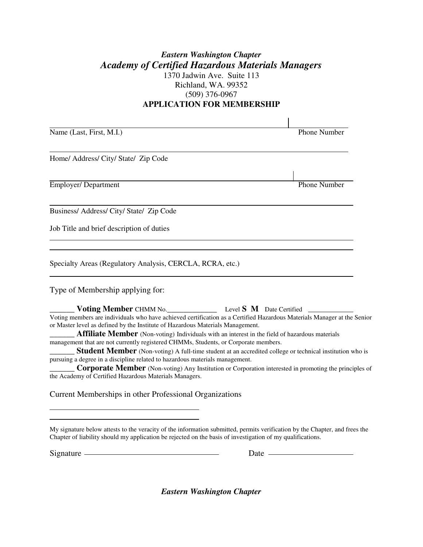## *Eastern Washington Chapter Academy of Certified Hazardous Materials Managers* 1370 Jadwin Ave. Suite 113 Richland, WA. 99352 (509) 376-0967 **APPLICATION FOR MEMBERSHIP**

Name (Last, First, M.I.) Phone Number Home/ Address/ City/ State/ Zip Code **Employer/ Department** Phone Number Business/ Address/ City/ State/ Zip Code Job Title and brief description of duties Specialty Areas (Regulatory Analysis, CERCLA, RCRA, etc.) Type of Membership applying for: \_\_\_\_\_\_ **Voting Member** CHMM No.\_\_\_\_\_\_\_\_\_\_\_\_ Level **S M** Date Certified Voting members are individuals who have achieved certification as a Certified Hazardous Materials Manager at the Senior or Master level as defined by the Institute of Hazardous Materials Management. **Affiliate Member** (Non-voting) Individuals with an interest in the field of hazardous materials management that are not currently registered CHMMs, Students, or Corporate members. **Student Member** (Non-voting) A full-time student at an accredited college or technical institution who is

pursuing a degree in a discipline related to hazardous materials management.

**Corporate Member** (Non-voting) Any Institution or Corporation interested in promoting the principles of the Academy of Certified Hazardous Materials Managers.

Current Memberships in other Professional Organizations

My signature below attests to the veracity of the information submitted, permits verification by the Chapter, and frees the Chapter of liability should my application be rejected on the basis of investigation of my qualifications.

 $\overline{a}$ 

 $\overline{a}$ 

Signature <u>example and the set of the set of the set of the set of the set of the set of the set of the set of the set of the set of the set of the set of the set of the set of the set of the set of the set of the set of t</u>

 *Eastern Washington Chapter*